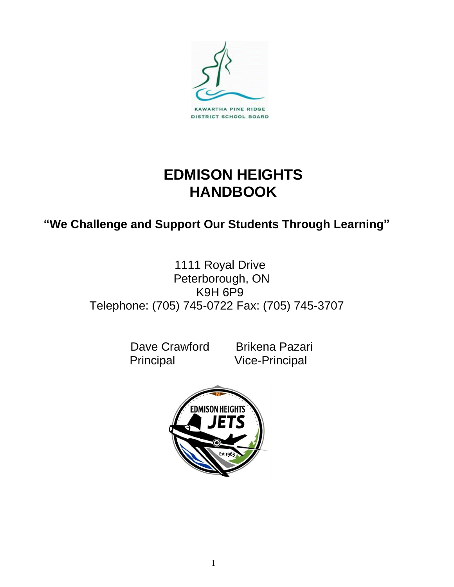

# **EDMISON HEIGHTS HANDBOOK**

## **"We Challenge and Support Our Students Through Learning"**

## 1111 Royal Drive Peterborough, ON K9H 6P9 Telephone: (705) 745-0722 Fax: (705) 745-3707

Dave Crawford Brikena Pazari Principal Vice-Principal

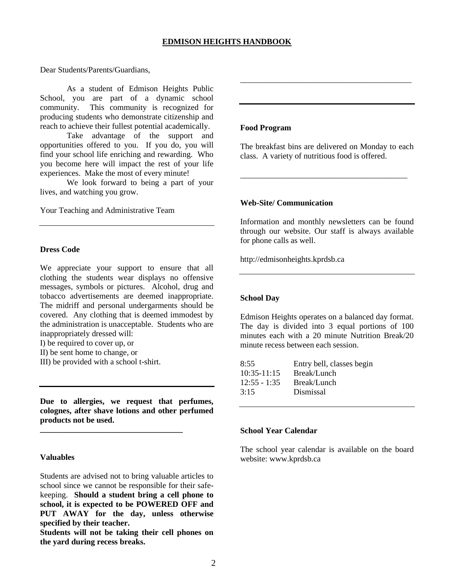Dear Students/Parents/Guardians,

As a student of Edmison Heights Public School, you are part of a dynamic school community. This community is recognized for producing students who demonstrate citizenship and reach to achieve their fullest potential academically.

Take advantage of the support and opportunities offered to you. If you do, you will find your school life enriching and rewarding. Who you become here will impact the rest of your life experiences. Make the most of every minute!

We look forward to being a part of your lives, and watching you grow.

Your Teaching and Administrative Team

#### **Dress Code**

We appreciate your support to ensure that all clothing the students wear displays no offensive messages, symbols or pictures. Alcohol, drug and tobacco advertisements are deemed inappropriate. The midriff and personal undergarments should be covered. Any clothing that is deemed immodest by the administration is unacceptable. Students who are inappropriately dressed will:

I) be required to cover up, or

II) be sent home to change, or

III) be provided with a school t-shirt.

**Due to allergies, we request that perfumes, colognes, after shave lotions and other perfumed products not be used.** 

**\_\_\_\_\_\_\_\_\_\_\_\_\_\_\_\_\_\_\_\_\_\_\_\_\_\_\_\_\_\_\_\_\_\_\_**

#### **Valuables**

Students are advised not to bring valuable articles to school since we cannot be responsible for their safekeeping. **Should a student bring a cell phone to school, it is expected to be POWERED OFF and PUT AWAY for the day, unless otherwise specified by their teacher.**

**Students will not be taking their cell phones on the yard during recess breaks.**

#### **Food Program**

The breakfast bins are delivered on Monday to each class. A variety of nutritious food is offered.

\_\_\_\_\_\_\_\_\_\_\_\_\_\_\_\_\_\_\_\_\_\_\_\_\_\_\_\_\_\_\_\_\_\_\_\_\_\_\_\_\_

\_\_\_\_\_\_\_\_\_\_\_\_\_\_\_\_\_\_\_\_\_\_\_\_\_\_\_\_\_\_\_\_\_\_\_\_\_\_\_\_\_\_

#### **Web-Site/ Communication**

Information and monthly newsletters can be found through our website. Our staff is always available for phone calls as well.

http://edmisonheights.kprdsb.ca

#### **School Day**

Edmison Heights operates on a balanced day format. The day is divided into 3 equal portions of 100 minutes each with a 20 minute Nutrition Break/20 minute recess between each session.

| 8:55           | Entry bell, classes begin |
|----------------|---------------------------|
| $10:35-11:15$  | Break/Lunch               |
| $12:55 - 1:35$ | Break/Lunch               |
| 3:15           | Dismissal                 |
|                |                           |

#### **School Year Calendar**

The school year calendar is available on the board website: www.kprdsb.ca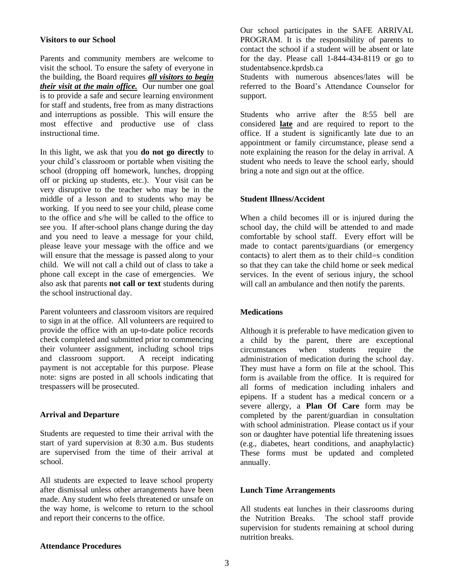#### **Visitors to our School**

Parents and community members are welcome to visit the school. To ensure the safety of everyone in the building, the Board requires *all visitors to begin their visit at the main office.* Our number one goal is to provide a safe and secure learning environment for staff and students, free from as many distractions and interruptions as possible. This will ensure the most effective and productive use of class instructional time.

In this light, we ask that you **do not go directly** to your child's classroom or portable when visiting the school (dropping off homework, lunches, dropping off or picking up students, etc.). Your visit can be very disruptive to the teacher who may be in the middle of a lesson and to students who may be working. If you need to see your child, please come to the office and s/he will be called to the office to see you. If after-school plans change during the day and you need to leave a message for your child, please leave your message with the office and we will ensure that the message is passed along to your child. We will not call a child out of class to take a phone call except in the case of emergencies. We also ask that parents **not call or text** students during the school instructional day.

Parent volunteers and classroom visitors are required to sign in at the office. All volunteers are required to provide the office with an up-to-date police records check completed and submitted prior to commencing their volunteer assignment, including school trips and classroom support. A receipt indicating payment is not acceptable for this purpose. Please note: signs are posted in all schools indicating that trespassers will be prosecuted.

#### **Arrival and Departure**

Students are requested to time their arrival with the start of yard supervision at 8:30 a.m. Bus students are supervised from the time of their arrival at school.

All students are expected to leave school property after dismissal unless other arrangements have been made. Any student who feels threatened or unsafe on the way home, is welcome to return to the school and report their concerns to the office.

Our school participates in the SAFE ARRIVAL PROGRAM. It is the responsibility of parents to contact the school if a student will be absent or late for the day. Please call 1-844-434-8119 or go to studentabsence.kprdsb.ca

Students with numerous absences/lates will be referred to the Board's Attendance Counselor for support.

Students who arrive after the 8:55 bell are considered **late** and are required to report to the office. If a student is significantly late due to an appointment or family circumstance, please send a note explaining the reason for the delay in arrival. A student who needs to leave the school early, should bring a note and sign out at the office.

#### **Student Illness/Accident**

When a child becomes ill or is injured during the school day, the child will be attended to and made comfortable by school staff. Every effort will be made to contact parents/guardians (or emergency contacts) to alert them as to their child=s condition so that they can take the child home or seek medical services. In the event of serious injury, the school will call an ambulance and then notify the parents.

#### **Medications**

Although it is preferable to have medication given to a child by the parent, there are exceptional circumstances when students require the administration of medication during the school day. They must have a form on file at the school. This form is available from the office. It is required for all forms of medication including inhalers and epipens. If a student has a medical concern or a severe allergy, a **Plan Of Care** form may be completed by the parent/guardian in consultation with school administration. Please contact us if your son or daughter have potential life threatening issues (e.g., diabetes, heart conditions, and anaphylactic) These forms must be updated and completed annually.

#### **Lunch Time Arrangements**

All students eat lunches in their classrooms during the Nutrition Breaks. The school staff provide supervision for students remaining at school during nutrition breaks.

#### **Attendance Procedures**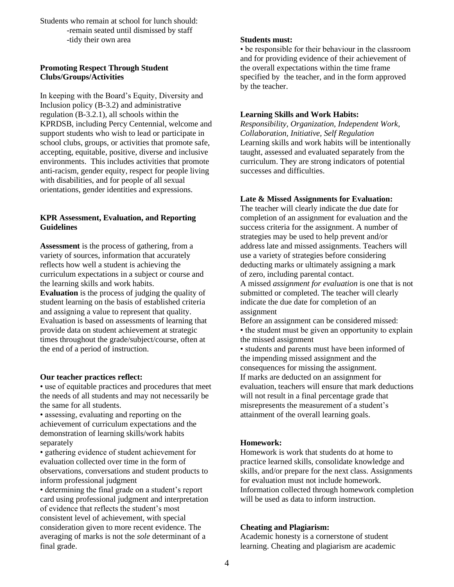Students who remain at school for lunch should: -remain seated until dismissed by staff -tidy their own area

#### **Promoting Respect Through Student Clubs/Groups/Activities**

In keeping with the Board's Equity, Diversity and Inclusion policy (B-3.2) and administrative regulation (B-3.2.1), all schools within the KPRDSB, including Percy Centennial, welcome and support students who wish to lead or participate in school clubs, groups, or activities that promote safe, accepting, equitable, positive, diverse and inclusive environments. This includes activities that promote anti-racism, gender equity, respect for people living with disabilities, and for people of all sexual orientations, gender identities and expressions.

#### **KPR Assessment, Evaluation, and Reporting Guidelines**

**Assessment** is the process of gathering, from a variety of sources, information that accurately reflects how well a student is achieving the curriculum expectations in a subject or course and the learning skills and work habits. **Evaluation** is the process of judging the quality of student learning on the basis of established criteria and assigning a value to represent that quality. Evaluation is based on assessments of learning that provide data on student achievement at strategic times throughout the grade/subject/course, often at

#### **Our teacher practices reflect:**

the end of a period of instruction.

• use of equitable practices and procedures that meet the needs of all students and may not necessarily be the same for all students.

• assessing, evaluating and reporting on the achievement of curriculum expectations and the demonstration of learning skills/work habits separately

• gathering evidence of student achievement for evaluation collected over time in the form of observations, conversations and student products to inform professional judgment

• determining the final grade on a student's report card using professional judgment and interpretation of evidence that reflects the student's most consistent level of achievement, with special consideration given to more recent evidence. The averaging of marks is not the *sole* determinant of a final grade.

#### **Students must:**

• be responsible for their behaviour in the classroom and for providing evidence of their achievement of the overall expectations within the time frame specified by the teacher, and in the form approved by the teacher.

#### **Learning Skills and Work Habits:**

*Responsibility, Organization, Independent Work, Collaboration, Initiative, Self Regulation* Learning skills and work habits will be intentionally taught, assessed and evaluated separately from the curriculum. They are strong indicators of potential successes and difficulties.

#### **Late & Missed Assignments for Evaluation:**

The teacher will clearly indicate the due date for completion of an assignment for evaluation and the success criteria for the assignment. A number of strategies may be used to help prevent and/or address late and missed assignments. Teachers will use a variety of strategies before considering deducting marks or ultimately assigning a mark of zero, including parental contact.

A missed *assignment for evaluation* is one that is not submitted or completed. The teacher will clearly indicate the due date for completion of an assignment

Before an assignment can be considered missed: • the student must be given an opportunity to explain the missed assignment

• students and parents must have been informed of the impending missed assignment and the consequences for missing the assignment. If marks are deducted on an assignment for evaluation, teachers will ensure that mark deductions will not result in a final percentage grade that misrepresents the measurement of a student's attainment of the overall learning goals.

#### **Homework:**

Homework is work that students do at home to practice learned skills, consolidate knowledge and skills, and/or prepare for the next class. Assignments for evaluation must not include homework. Information collected through homework completion will be used as data to inform instruction.

#### **Cheating and Plagiarism:**

Academic honesty is a cornerstone of student learning. Cheating and plagiarism are academic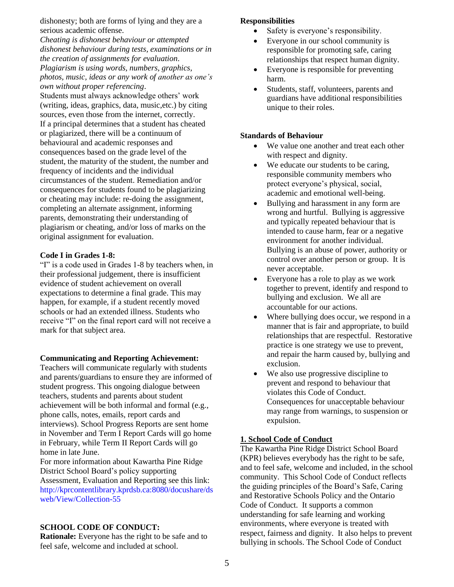dishonesty; both are forms of lying and they are a serious academic offense.

*Cheating is dishonest behaviour or attempted dishonest behaviour during tests, examinations or in the creation of assignments for evaluation*. *Plagiarism is using words, numbers, graphics, photos, music, ideas or any work of another as one's own without proper referencing*.

Students must always acknowledge others' work (writing, ideas, graphics, data, music,etc.) by citing sources, even those from the internet, correctly. If a principal determines that a student has cheated or plagiarized, there will be a continuum of behavioural and academic responses and consequences based on the grade level of the student, the maturity of the student, the number and frequency of incidents and the individual circumstances of the student. Remediation and/or consequences for students found to be plagiarizing or cheating may include: re-doing the assignment, completing an alternate assignment, informing parents, demonstrating their understanding of plagiarism or cheating, and/or loss of marks on the original assignment for evaluation.

#### **Code I in Grades 1-8:**

"I" is a code used in Grades 1-8 by teachers when, in their professional judgement, there is insufficient evidence of student achievement on overall expectations to determine a final grade. This may happen, for example, if a student recently moved schools or had an extended illness. Students who receive "I" on the final report card will not receive a mark for that subject area.

#### **Communicating and Reporting Achievement:**

Teachers will communicate regularly with students and parents/guardians to ensure they are informed of student progress. This ongoing dialogue between teachers, students and parents about student achievement will be both informal and formal (e.g., phone calls, notes, emails, report cards and interviews). School Progress Reports are sent home in November and Term I Report Cards will go home in February, while Term II Report Cards will go home in late June.

For more information about Kawartha Pine Ridge District School Board's policy supporting Assessment, Evaluation and Reporting see this link: http://kprcontentlibrary.kprdsb.ca:8080/docushare/ds web/View/Collection-55

## **SCHOOL CODE OF CONDUCT:**

**Rationale:** Everyone has the right to be safe and to feel safe, welcome and included at school.

## **Responsibilities**

- Safety is everyone's responsibility.
- Everyone in our school community is responsible for promoting safe, caring relationships that respect human dignity.
- Everyone is responsible for preventing harm.
- Students, staff, volunteers, parents and guardians have additional responsibilities unique to their roles.

#### **Standards of Behaviour**

- We value one another and treat each other with respect and dignity.
- We educate our students to be caring, responsible community members who protect everyone's physical, social, academic and emotional well-being.
- Bullying and harassment in any form are wrong and hurtful. Bullying is aggressive and typically repeated behaviour that is intended to cause harm, fear or a negative environment for another individual. Bullying is an abuse of power, authority or control over another person or group. It is never acceptable.
- Everyone has a role to play as we work together to prevent, identify and respond to bullying and exclusion. We all are accountable for our actions.
- Where bullying does occur, we respond in a manner that is fair and appropriate, to build relationships that are respectful. Restorative practice is one strategy we use to prevent, and repair the harm caused by, bullying and exclusion.
- We also use progressive discipline to prevent and respond to behaviour that violates this Code of Conduct. Consequences for unacceptable behaviour may range from warnings, to suspension or expulsion.

#### **1. School Code of Conduct**

The Kawartha Pine Ridge District School Board (KPR) believes everybody has the right to be safe, and to feel safe, welcome and included, in the school community. This School Code of Conduct reflects the guiding principles of the Board's Safe, Caring and Restorative Schools Policy and the Ontario Code of Conduct. It supports a common understanding for safe learning and working environments, where everyone is treated with respect, fairness and dignity. It also helps to prevent bullying in schools. The School Code of Conduct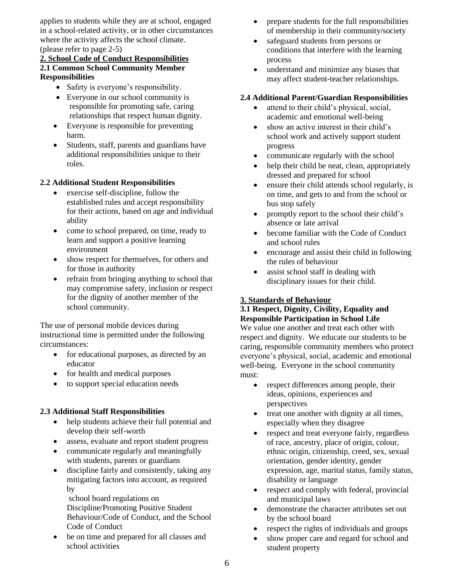applies to students while they are at school, engaged in a school-related activity, or in other circumstances where the activity affects the school climate. (please refer to page 2-5)

### **2. School Code of Conduct Responsibilities 2.1 Common School Community Member Responsibilities**

- Safety is everyone's responsibility.
- Everyone in our school community is responsible for promoting safe, caring relationships that respect human dignity.
- Everyone is responsible for preventing harm.
- Students, staff, parents and guardians have additional responsibilities unique to their roles.

## **2.2 Additional Student Responsibilities**

- exercise self-discipline, follow the established rules and accept responsibility for their actions, based on age and individual ability
- come to school prepared, on time, ready to learn and support a positive learning environment
- show respect for themselves, for others and for those in authority
- refrain from bringing anything to school that may compromise safety, inclusion or respect for the dignity of another member of the school community.

The use of personal mobile devices during instructional time is permitted under the following circumstances:

- for educational purposes, as directed by an educator
- for health and medical purposes
- to support special education needs

#### **2.3 Additional Staff Responsibilities**

- help students achieve their full potential and develop their self-worth
- assess, evaluate and report student progress
- communicate regularly and meaningfully with students, parents or guardians
- discipline fairly and consistently, taking any mitigating factors into account, as required by

school board regulations on Discipline/Promoting Positive Student Behaviour/Code of Conduct, and the School Code of Conduct

be on time and prepared for all classes and school activities

- prepare students for the full responsibilities of membership in their community/society
- safeguard students from persons or conditions that interfere with the learning process
- understand and minimize any biases that may affect student-teacher relationships.

#### **2.4 Additional Parent/Guardian Responsibilities**

- attend to their child's physical, social, academic and emotional well-being
- show an active interest in their child's school work and actively support student progress
- communicate regularly with the school
- help their child be neat, clean, appropriately dressed and prepared for school
- ensure their child attends school regularly, is on time, and gets to and from the school or bus stop safely
- promptly report to the school their child's absence or late arrival
- become familiar with the Code of Conduct and school rules
- encourage and assist their child in following the rules of behaviour
- assist school staff in dealing with disciplinary issues for their child.

#### **3. Standards of Behaviour**

## **3.1 Respect, Dignity, Civility, Equality and Responsible Participation in School Life**

We value one another and treat each other with respect and dignity. We educate our students to be caring, responsible community members who protect everyone's physical, social, academic and emotional well-being. Everyone in the school community must:

- respect differences among people, their ideas, opinions, experiences and perspectives
- treat one another with dignity at all times, especially when they disagree
- respect and treat everyone fairly, regardless of race, ancestry, place of origin, colour, ethnic origin, citizenship, creed, sex, sexual orientation, gender identity, gender expression, age, marital status, family status, disability or language
- respect and comply with federal, provincial and municipal laws
- demonstrate the character attributes set out by the school board
- respect the rights of individuals and groups
- show proper care and regard for school and student property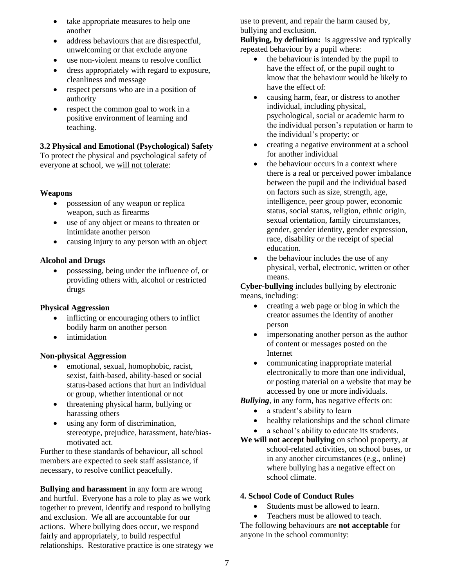- take appropriate measures to help one another
- address behaviours that are disrespectful, unwelcoming or that exclude anyone
- use non-violent means to resolve conflict
- dress appropriately with regard to exposure, cleanliness and message
- respect persons who are in a position of authority
- respect the common goal to work in a positive environment of learning and teaching.

## **3.2 Physical and Emotional (Psychological) Safety**

To protect the physical and psychological safety of everyone at school, we will not tolerate:

## **Weapons**

- possession of any weapon or replica weapon, such as firearms
- use of any object or means to threaten or intimidate another person
- causing injury to any person with an object

## **Alcohol and Drugs**

• possessing, being under the influence of, or providing others with, alcohol or restricted drugs

## **Physical Aggression**

- inflicting or encouraging others to inflict bodily harm on another person
- intimidation

## **Non-physical Aggression**

- emotional, sexual, homophobic, racist, sexist, faith-based, ability-based or social status-based actions that hurt an individual or group, whether intentional or not
- threatening physical harm, bullying or harassing others
- using any form of discrimination, stereotype, prejudice, harassment, hate/biasmotivated act.

Further to these standards of behaviour, all school members are expected to seek staff assistance, if necessary, to resolve conflict peacefully.

**Bullying and harassment** in any form are wrong and hurtful. Everyone has a role to play as we work together to prevent, identify and respond to bullying and exclusion. We all are accountable for our actions. Where bullying does occur, we respond fairly and appropriately, to build respectful relationships. Restorative practice is one strategy we use to prevent, and repair the harm caused by, bullying and exclusion.

**Bullying, by definition:** is aggressive and typically repeated behaviour by a pupil where:

- the behaviour is intended by the pupil to have the effect of, or the pupil ought to know that the behaviour would be likely to have the effect of:
- causing harm, fear, or distress to another individual, including physical, psychological, social or academic harm to the individual person's reputation or harm to the individual's property; or
- creating a negative environment at a school for another individual
- the behaviour occurs in a context where there is a real or perceived power imbalance between the pupil and the individual based on factors such as size, strength, age, intelligence, peer group power, economic status, social status, religion, ethnic origin, sexual orientation, family circumstances, gender, gender identity, gender expression, race, disability or the receipt of special education.
- the behaviour includes the use of any physical, verbal, electronic, written or other means.

**Cyber-bullying** includes bullying by electronic means, including:

- creating a web page or blog in which the creator assumes the identity of another person
- impersonating another person as the author of content or messages posted on the Internet
- communicating inappropriate material electronically to more than one individual, or posting material on a website that may be accessed by one or more individuals.

*Bullying*, in any form, has negative effects on:

- a student's ability to learn
- healthy relationships and the school climate
- a school's ability to educate its students.
- **We will not accept bullying** on school property, at school-related activities, on school buses, or in any another circumstances (e.g., online) where bullying has a negative effect on school climate.

## **4. School Code of Conduct Rules**

- Students must be allowed to learn.
- Teachers must be allowed to teach.

The following behaviours are **not acceptable** for anyone in the school community: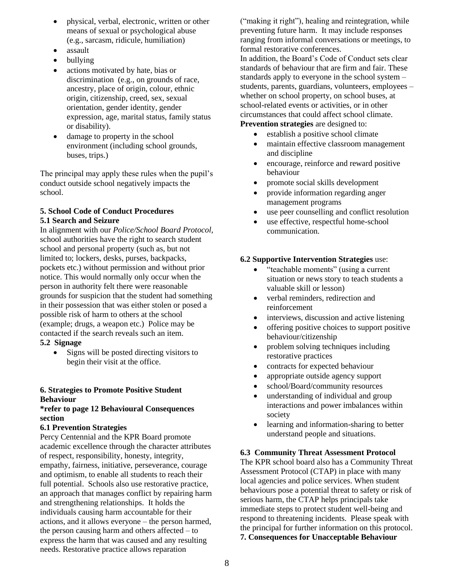- physical, verbal, electronic, written or other means of sexual or psychological abuse (e.g., sarcasm, ridicule, humiliation)
- assault
- bullying
- actions motivated by hate, bias or discrimination (e.g., on grounds of race, ancestry, place of origin, colour, ethnic origin, citizenship, creed, sex, sexual orientation, gender identity, gender expression, age, marital status, family status or disability).
- damage to property in the school environment (including school grounds, buses, trips.)

The principal may apply these rules when the pupil's conduct outside school negatively impacts the school.

## **5. School Code of Conduct Procedures 5.1 Search and Seizure**

In alignment with our *Police/School Board Protocol*, school authorities have the right to search student school and personal property (such as, but not limited to; lockers, desks, purses, backpacks, pockets etc.) without permission and without prior notice. This would normally only occur when the person in authority felt there were reasonable grounds for suspicion that the student had something in their possession that was either stolen or posed a possible risk of harm to others at the school (example; drugs, a weapon etc.) Police may be contacted if the search reveals such an item.

## **5.2 Signage**

• Signs will be posted directing visitors to begin their visit at the office.

## **6. Strategies to Promote Positive Student Behaviour**

#### **\*refer to page 12 Behavioural Consequences section**

## **6.1 Prevention Strategies**

Percy Centennial and the KPR Board promote academic excellence through the character attributes of respect, responsibility, honesty, integrity, empathy, fairness, initiative, perseverance, courage and optimism, to enable all students to reach their full potential. Schools also use restorative practice, an approach that manages conflict by repairing harm and strengthening relationships. It holds the individuals causing harm accountable for their actions, and it allows everyone – the person harmed, the person causing harm and others affected – to express the harm that was caused and any resulting needs. Restorative practice allows reparation

("making it right"), healing and reintegration, while preventing future harm. It may include responses ranging from informal conversations or meetings, to formal restorative conferences.

In addition, the Board's Code of Conduct sets clear standards of behaviour that are firm and fair. These standards apply to everyone in the school system – students, parents, guardians, volunteers, employees – whether on school property, on school buses, at school-related events or activities, or in other circumstances that could affect school climate. **Prevention strategies** are designed to:

- establish a positive school climate
- maintain effective classroom management and discipline
- encourage, reinforce and reward positive behaviour
- promote social skills development
- provide information regarding anger management programs
- use peer counselling and conflict resolution
- use effective, respectful home-school communication*.*

## **6.2 Supportive Intervention Strategies** use:

- "teachable moments" (using a current situation or news story to teach students a valuable skill or lesson)
- verbal reminders, redirection and reinforcement
- interviews, discussion and active listening
- offering positive choices to support positive behaviour/citizenship
- problem solving techniques including restorative practices
- contracts for expected behaviour
- appropriate outside agency support
- school/Board/community resources
- understanding of individual and group interactions and power imbalances within society
- learning and information-sharing to better understand people and situations.

## **6.3 Community Threat Assessment Protocol**

The KPR school board also has a Community Threat Assessment Protocol (CTAP) in place with many local agencies and police services. When student behaviours pose a potential threat to safety or risk of serious harm, the CTAP helps principals take immediate steps to protect student well-being and respond to threatening incidents. Please speak with the principal for further information on this protocol. **7. Consequences for Unacceptable Behaviour**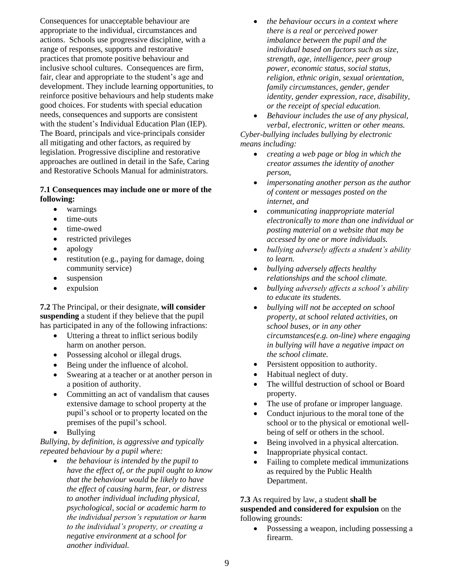Consequences for unacceptable behaviour are appropriate to the individual, circumstances and actions. Schools use progressive discipline, with a range of responses, supports and restorative practices that promote positive behaviour and inclusive school cultures. Consequences are firm, fair, clear and appropriate to the student's age and development. They include learning opportunities, to reinforce positive behaviours and help students make good choices. For students with special education needs, consequences and supports are consistent with the student's Individual Education Plan (IEP). The Board, principals and vice-principals consider all mitigating and other factors, as required by legislation. Progressive discipline and restorative approaches are outlined in detail in the Safe, Caring and Restorative Schools Manual for administrators.

#### **7.1 Consequences may include one or more of the following:**

- warnings
- time-outs
- time-owed
- restricted privileges
- apology
- restitution (e.g., paying for damage, doing community service)
- suspension
- expulsion

**7.2** The Principal, or their designate, **will consider suspending** a student if they believe that the pupil has participated in any of the following infractions:

- Uttering a threat to inflict serious bodily harm on another person.
- Possessing alcohol or illegal drugs.
- Being under the influence of alcohol.
- Swearing at a teacher or at another person in a position of authority.
- Committing an act of vandalism that causes extensive damage to school property at the pupil's school or to property located on the premises of the pupil's school.
- Bullying

*Bullying, by definition, is aggressive and typically repeated behaviour by a pupil where:*

• *the behaviour is intended by the pupil to have the effect of, or the pupil ought to know that the behaviour would be likely to have the effect of causing harm, fear, or distress to another individual including physical, psychological, social or academic harm to the individual person's reputation or harm to the individual's property, or creating a negative environment at a school for another individual.*

- *the behaviour occurs in a context where there is a real or perceived power imbalance between the pupil and the individual based on factors such as size, strength, age, intelligence, peer group power, economic status, social status, religion, ethnic origin, sexual orientation, family circumstances, gender, gender identity, gender expression, race, disability, or the receipt of special education.*
- *Behaviour includes the use of any physical, verbal, electronic, written or other means. Cyber-bullying includes bullying by electronic means including:*
	- *creating a web page or blog in which the creator assumes the identity of another person,*
	- *impersonating another person as the author of content or messages posted on the internet, and*
	- *communicating inappropriate material electronically to more than one individual or posting material on a website that may be accessed by one or more individuals.*
	- *bullying adversely affects a student's ability to learn.*
	- *bullying adversely affects healthy relationships and the school climate.*
	- *bullying adversely affects a school's ability to educate its students.*
	- *bullying will not be accepted on school property, at school related activities, on school buses, or in any other circumstances(e.g. on-line) where engaging in bullying will have a negative impact on the school climate.*
	- Persistent opposition to authority.
	- Habitual neglect of duty.
	- The willful destruction of school or Board property.
	- The use of profane or improper language.
	- Conduct injurious to the moral tone of the school or to the physical or emotional wellbeing of self or others in the school.
	- Being involved in a physical altercation.
	- Inappropriate physical contact.
	- Failing to complete medical immunizations as required by the Public Health Department.

**7.3** As required by law, a student **shall be suspended and considered for expulsion** on the following grounds:

• Possessing a weapon, including possessing a firearm.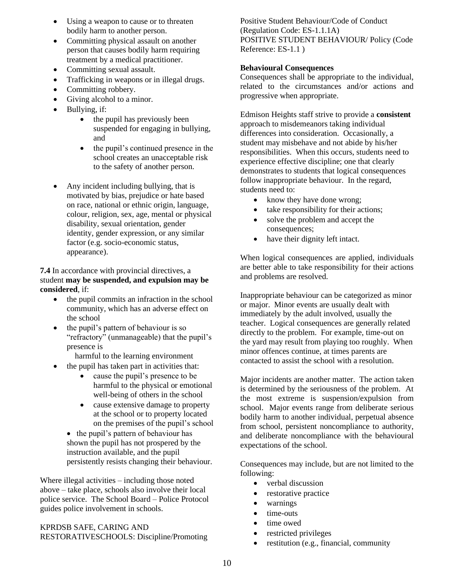- Using a weapon to cause or to threaten bodily harm to another person.
- Committing physical assault on another person that causes bodily harm requiring treatment by a medical practitioner.
- Committing sexual assault.
- Trafficking in weapons or in illegal drugs.
- Committing robbery.
- Giving alcohol to a minor.
- Bullying, if:
	- the pupil has previously been suspended for engaging in bullying, and
	- the pupil's continued presence in the school creates an unacceptable risk to the safety of another person.
- Any incident including bullying, that is motivated by bias, prejudice or hate based on race, national or ethnic origin, language, colour, religion, sex, age, mental or physical disability, sexual orientation, gender identity, gender expression, or any similar factor (e.g. socio-economic status, appearance).

**7.4** In accordance with provincial directives, a student **may be suspended, and expulsion may be considered**, if:

- the pupil commits an infraction in the school community, which has an adverse effect on the school
- the pupil's pattern of behaviour is so "refractory" (unmanageable) that the pupil's presence is
	- harmful to the learning environment
- the pupil has taken part in activities that:
	- cause the pupil's presence to be harmful to the physical or emotional well-being of others in the school
	- cause extensive damage to property at the school or to property located on the premises of the pupil's school
	- the pupil's pattern of behaviour has shown the pupil has not prospered by the instruction available, and the pupil persistently resists changing their behaviour.

Where illegal activities – including those noted above – take place, schools also involve their local police service. The School Board – Police Protocol guides police involvement in schools.

KPRDSB SAFE, CARING AND RESTORATIVESCHOOLS: Discipline/Promoting Positive Student Behaviour/Code of Conduct (Regulation Code: ES-1.1.1A) POSITIVE STUDENT BEHAVIOUR/ Policy (Code Reference: ES-1.1 )

## **Behavioural Consequences**

Consequences shall be appropriate to the individual, related to the circumstances and/or actions and progressive when appropriate.

Edmison Heights staff strive to provide a **consistent** approach to misdemeanors taking individual differences into consideration. Occasionally, a student may misbehave and not abide by his/her responsibilities. When this occurs, students need to experience effective discipline; one that clearly demonstrates to students that logical consequences follow inappropriate behaviour. In the regard, students need to:

- know they have done wrong;
- take responsibility for their actions;
- solve the problem and accept the consequences;
- have their dignity left intact.

When logical consequences are applied, individuals are better able to take responsibility for their actions and problems are resolved.

Inappropriate behaviour can be categorized as minor or major. Minor events are usually dealt with immediately by the adult involved, usually the teacher. Logical consequences are generally related directly to the problem. For example, time-out on the yard may result from playing too roughly. When minor offences continue, at times parents are contacted to assist the school with a resolution.

Major incidents are another matter. The action taken is determined by the seriousness of the problem. At the most extreme is suspension/expulsion from school. Major events range from deliberate serious bodily harm to another individual, perpetual absence from school, persistent noncompliance to authority, and deliberate noncompliance with the behavioural expectations of the school.

Consequences may include, but are not limited to the following:

- verbal discussion
- restorative practice
- warnings
- time-outs
- time owed
- restricted privileges
- restitution (e.g., financial, community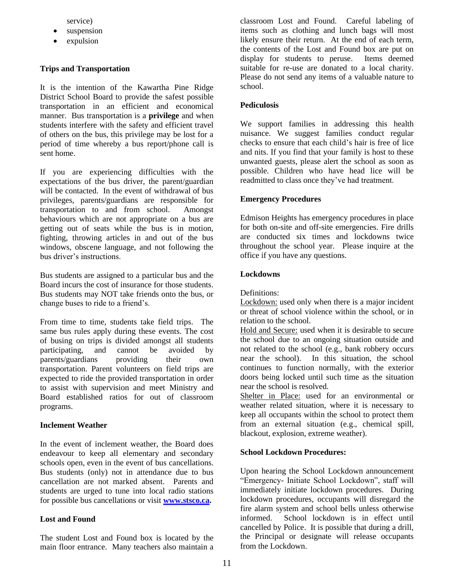service)

- suspension
- expulsion

## **Trips and Transportation**

It is the intention of the Kawartha Pine Ridge District School Board to provide the safest possible transportation in an efficient and economical manner. Bus transportation is a **privilege** and when students interfere with the safety and efficient travel of others on the bus, this privilege may be lost for a period of time whereby a bus report/phone call is sent home.

If you are experiencing difficulties with the expectations of the bus driver, the parent/guardian will be contacted. In the event of withdrawal of bus privileges, parents/guardians are responsible for transportation to and from school. Amongst behaviours which are not appropriate on a bus are getting out of seats while the bus is in motion, fighting, throwing articles in and out of the bus windows, obscene language, and not following the bus driver's instructions.

Bus students are assigned to a particular bus and the Board incurs the cost of insurance for those students. Bus students may NOT take friends onto the bus, or change buses to ride to a friend's.

From time to time, students take field trips. The same bus rules apply during these events. The cost of busing on trips is divided amongst all students participating, and cannot be avoided by parents/guardians providing their own transportation. Parent volunteers on field trips are expected to ride the provided transportation in order to assist with supervision and meet Ministry and Board established ratios for out of classroom programs.

#### **Inclement Weather**

In the event of inclement weather, the Board does endeavour to keep all elementary and secondary schools open, even in the event of bus cancellations. Bus students (only) not in attendance due to bus cancellation are not marked absent. Parents and students are urged to tune into local radio stations for possible bus cancellations or visit **[www.stsco.ca.](http://www.stsco.ca/)**

## **Lost and Found**

The student Lost and Found box is located by the main floor entrance. Many teachers also maintain a classroom Lost and Found. Careful labeling of items such as clothing and lunch bags will most likely ensure their return. At the end of each term, the contents of the Lost and Found box are put on display for students to peruse. Items deemed suitable for re-use are donated to a local charity. Please do not send any items of a valuable nature to school.

## **Pediculosis**

We support families in addressing this health nuisance. We suggest families conduct regular checks to ensure that each child's hair is free of lice and nits. If you find that your family is host to these unwanted guests, please alert the school as soon as possible. Children who have head lice will be readmitted to class once they've had treatment.

## **Emergency Procedures**

Edmison Heights has emergency procedures in place for both on-site and off-site emergencies. Fire drills are conducted six times and lockdowns twice throughout the school year. Please inquire at the office if you have any questions.

## **Lockdowns**

Definitions:

Lockdown: used only when there is a major incident or threat of school violence within the school, or in relation to the school.

Hold and Secure: used when it is desirable to secure the school due to an ongoing situation outside and not related to the school (e.g., bank robbery occurs near the school). In this situation, the school continues to function normally, with the exterior doors being locked until such time as the situation near the school is resolved.

Shelter in Place: used for an environmental or weather related situation, where it is necessary to keep all occupants within the school to protect them from an external situation (e.g., chemical spill, blackout, explosion, extreme weather).

## **School Lockdown Procedures:**

Upon hearing the School Lockdown announcement "Emergency- Initiate School Lockdown", staff will immediately initiate lockdown procedures. During lockdown procedures, occupants will disregard the fire alarm system and school bells unless otherwise informed. School lockdown is in effect until cancelled by Police. It is possible that during a drill, the Principal or designate will release occupants from the Lockdown.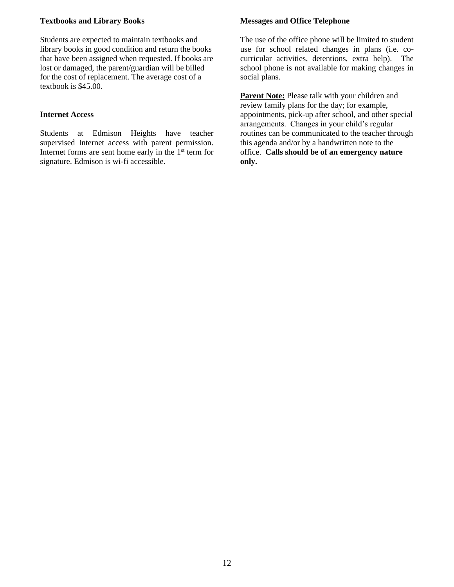## **Textbooks and Library Books**

Students are expected to maintain textbooks and library books in good condition and return the books that have been assigned when requested. If books are lost or damaged, the parent/guardian will be billed for the cost of replacement. The average cost of a textbook is \$45.00.

#### **Internet Access**

Students at Edmison Heights have teacher supervised Internet access with parent permission. Internet forms are sent home early in the  $1<sup>st</sup>$  term for signature. Edmison is wi-fi accessible.

## **Messages and Office Telephone**

The use of the office phone will be limited to student use for school related changes in plans (i.e. cocurricular activities, detentions, extra help). The school phone is not available for making changes in social plans.

**Parent Note:** Please talk with your children and review family plans for the day; for example, appointments, pick-up after school, and other special arrangements. Changes in your child's regular routines can be communicated to the teacher through this agenda and/or by a handwritten note to the office. **Calls should be of an emergency nature only.**